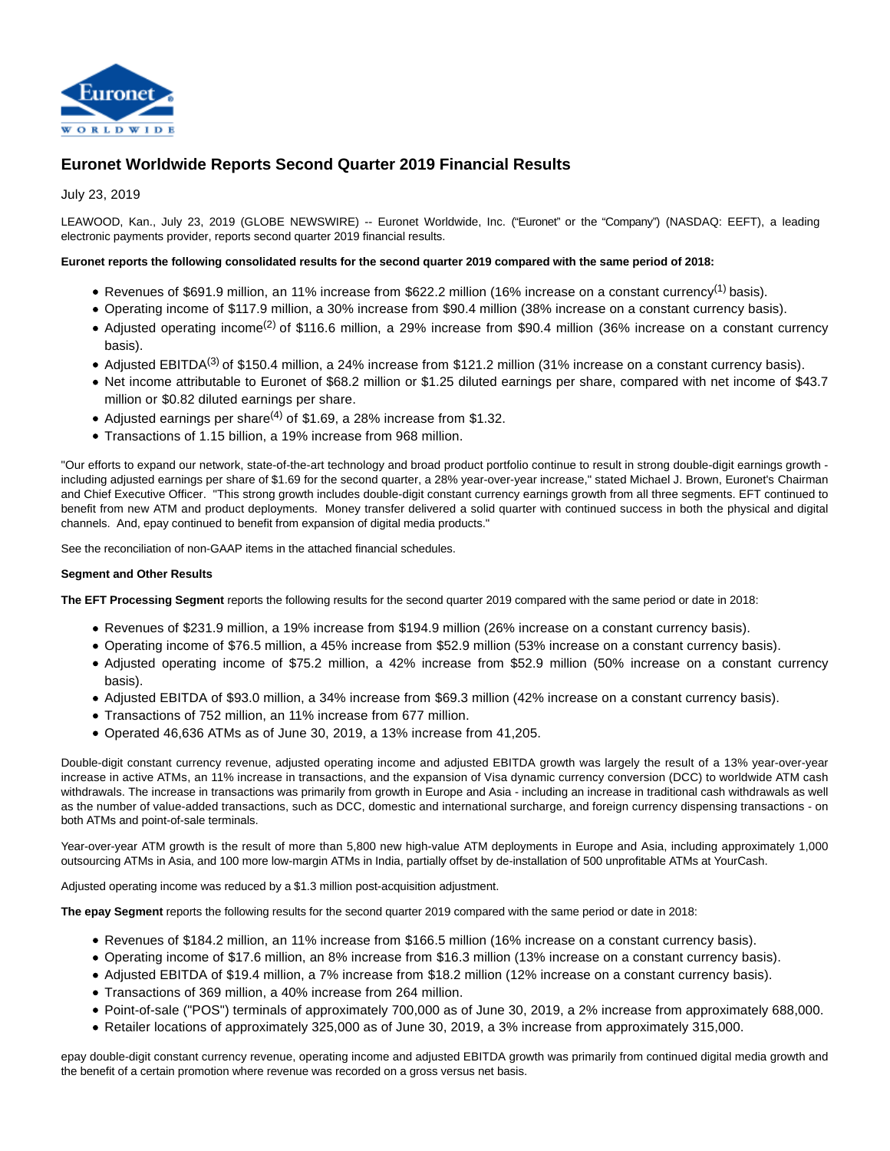

# **Euronet Worldwide Reports Second Quarter 2019 Financial Results**

## July 23, 2019

LEAWOOD, Kan., July 23, 2019 (GLOBE NEWSWIRE) -- Euronet Worldwide, Inc. ("Euronet" or the "Company") (NASDAQ: EEFT), a leading electronic payments provider, reports second quarter 2019 financial results.

## **Euronet reports the following consolidated results for the second quarter 2019 compared with the same period of 2018:**

- Revenues of \$691.9 million, an 11% increase from \$622.2 million (16% increase on a constant currency<sup>(1)</sup> basis).
- Operating income of \$117.9 million, a 30% increase from \$90.4 million (38% increase on a constant currency basis).
- Adjusted operating income<sup>(2)</sup> of \$116.6 million, a 29% increase from \$90.4 million (36% increase on a constant currency basis).
- Adjusted EBITDA<sup>(3)</sup> of \$150.4 million, a 24% increase from \$121.2 million (31% increase on a constant currency basis).
- Net income attributable to Euronet of \$68.2 million or \$1.25 diluted earnings per share, compared with net income of \$43.7 million or \$0.82 diluted earnings per share.
- Adjusted earnings per share<sup>(4)</sup> of \$1.69, a 28% increase from \$1.32.
- Transactions of 1.15 billion, a 19% increase from 968 million.

"Our efforts to expand our network, state-of-the-art technology and broad product portfolio continue to result in strong double-digit earnings growth including adjusted earnings per share of \$1.69 for the second quarter, a 28% year-over-year increase," stated Michael J. Brown, Euronet's Chairman and Chief Executive Officer. "This strong growth includes double-digit constant currency earnings growth from all three segments. EFT continued to benefit from new ATM and product deployments. Money transfer delivered a solid quarter with continued success in both the physical and digital channels. And, epay continued to benefit from expansion of digital media products."

See the reconciliation of non-GAAP items in the attached financial schedules.

### **Segment and Other Results**

**The EFT Processing Segment** reports the following results for the second quarter 2019 compared with the same period or date in 2018:

- Revenues of \$231.9 million, a 19% increase from \$194.9 million (26% increase on a constant currency basis).
- Operating income of \$76.5 million, a 45% increase from \$52.9 million (53% increase on a constant currency basis).
- Adjusted operating income of \$75.2 million, a 42% increase from \$52.9 million (50% increase on a constant currency basis).
- Adjusted EBITDA of \$93.0 million, a 34% increase from \$69.3 million (42% increase on a constant currency basis).
- Transactions of 752 million, an 11% increase from 677 million.
- Operated 46,636 ATMs as of June 30, 2019, a 13% increase from 41,205.

Double-digit constant currency revenue, adjusted operating income and adjusted EBITDA growth was largely the result of a 13% year-over-year increase in active ATMs, an 11% increase in transactions, and the expansion of Visa dynamic currency conversion (DCC) to worldwide ATM cash withdrawals. The increase in transactions was primarily from growth in Europe and Asia - including an increase in traditional cash withdrawals as well as the number of value-added transactions, such as DCC, domestic and international surcharge, and foreign currency dispensing transactions - on both ATMs and point-of-sale terminals.

Year-over-year ATM growth is the result of more than 5,800 new high-value ATM deployments in Europe and Asia, including approximately 1,000 outsourcing ATMs in Asia, and 100 more low-margin ATMs in India, partially offset by de-installation of 500 unprofitable ATMs at YourCash.

Adjusted operating income was reduced by a \$1.3 million post-acquisition adjustment.

**The epay Segment** reports the following results for the second quarter 2019 compared with the same period or date in 2018:

- Revenues of \$184.2 million, an 11% increase from \$166.5 million (16% increase on a constant currency basis).
- Operating income of \$17.6 million, an 8% increase from \$16.3 million (13% increase on a constant currency basis).
- Adjusted EBITDA of \$19.4 million, a 7% increase from \$18.2 million (12% increase on a constant currency basis).
- Transactions of 369 million, a 40% increase from 264 million.
- Point-of-sale ("POS") terminals of approximately 700,000 as of June 30, 2019, a 2% increase from approximately 688,000.
- Retailer locations of approximately 325,000 as of June 30, 2019, a 3% increase from approximately 315,000.

epay double-digit constant currency revenue, operating income and adjusted EBITDA growth was primarily from continued digital media growth and the benefit of a certain promotion where revenue was recorded on a gross versus net basis.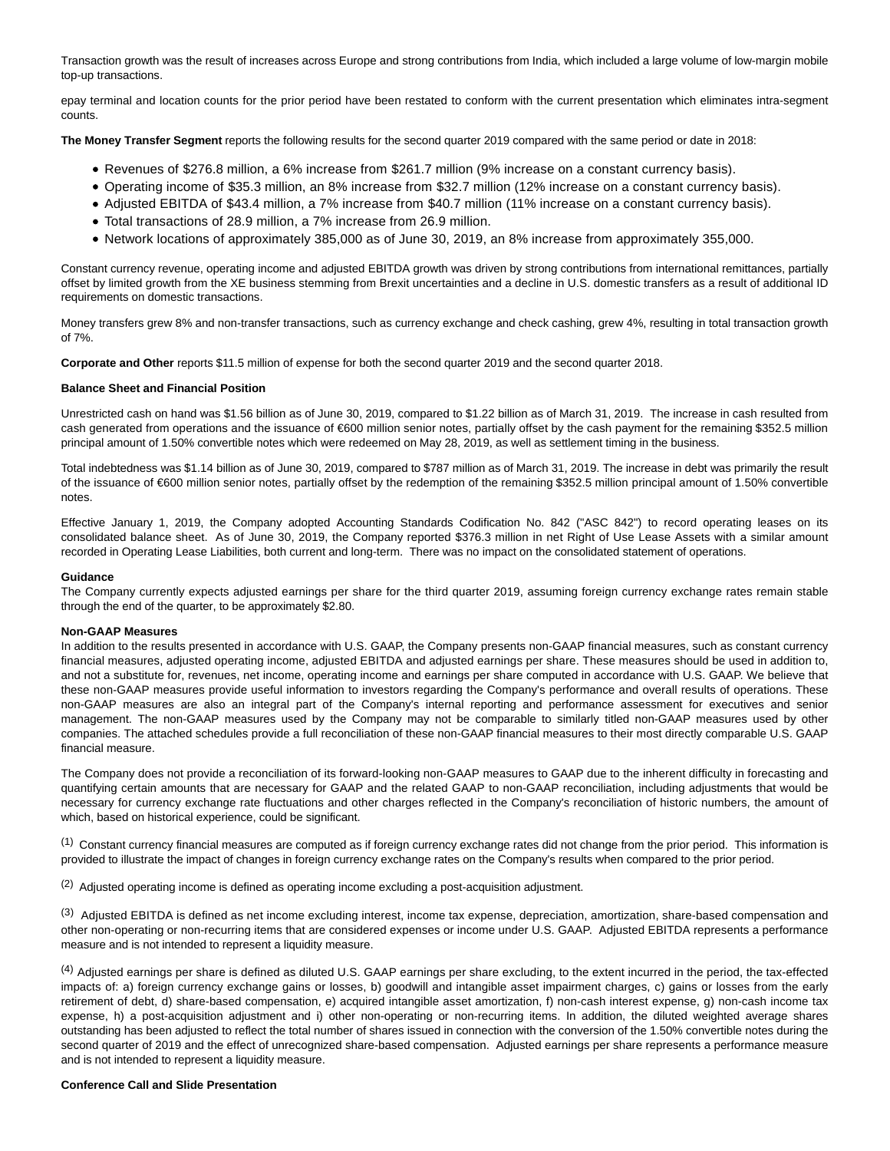Transaction growth was the result of increases across Europe and strong contributions from India, which included a large volume of low-margin mobile top-up transactions.

epay terminal and location counts for the prior period have been restated to conform with the current presentation which eliminates intra-segment counts.

**The Money Transfer Segment** reports the following results for the second quarter 2019 compared with the same period or date in 2018:

- Revenues of \$276.8 million, a 6% increase from \$261.7 million (9% increase on a constant currency basis).
- Operating income of \$35.3 million, an 8% increase from \$32.7 million (12% increase on a constant currency basis).
- Adjusted EBITDA of \$43.4 million, a 7% increase from \$40.7 million (11% increase on a constant currency basis).
- Total transactions of 28.9 million, a 7% increase from 26.9 million.
- Network locations of approximately 385,000 as of June 30, 2019, an 8% increase from approximately 355,000.

Constant currency revenue, operating income and adjusted EBITDA growth was driven by strong contributions from international remittances, partially offset by limited growth from the XE business stemming from Brexit uncertainties and a decline in U.S. domestic transfers as a result of additional ID requirements on domestic transactions.

Money transfers grew 8% and non-transfer transactions, such as currency exchange and check cashing, grew 4%, resulting in total transaction growth of 7%.

**Corporate and Other** reports \$11.5 million of expense for both the second quarter 2019 and the second quarter 2018.

### **Balance Sheet and Financial Position**

Unrestricted cash on hand was \$1.56 billion as of June 30, 2019, compared to \$1.22 billion as of March 31, 2019. The increase in cash resulted from cash generated from operations and the issuance of €600 million senior notes, partially offset by the cash payment for the remaining \$352.5 million principal amount of 1.50% convertible notes which were redeemed on May 28, 2019, as well as settlement timing in the business.

Total indebtedness was \$1.14 billion as of June 30, 2019, compared to \$787 million as of March 31, 2019. The increase in debt was primarily the result of the issuance of €600 million senior notes, partially offset by the redemption of the remaining \$352.5 million principal amount of 1.50% convertible notes.

Effective January 1, 2019, the Company adopted Accounting Standards Codification No. 842 ("ASC 842") to record operating leases on its consolidated balance sheet. As of June 30, 2019, the Company reported \$376.3 million in net Right of Use Lease Assets with a similar amount recorded in Operating Lease Liabilities, both current and long-term. There was no impact on the consolidated statement of operations.

#### **Guidance**

The Company currently expects adjusted earnings per share for the third quarter 2019, assuming foreign currency exchange rates remain stable through the end of the quarter, to be approximately \$2.80.

#### **Non-GAAP Measures**

In addition to the results presented in accordance with U.S. GAAP, the Company presents non-GAAP financial measures, such as constant currency financial measures, adjusted operating income, adjusted EBITDA and adjusted earnings per share. These measures should be used in addition to, and not a substitute for, revenues, net income, operating income and earnings per share computed in accordance with U.S. GAAP. We believe that these non-GAAP measures provide useful information to investors regarding the Company's performance and overall results of operations. These non-GAAP measures are also an integral part of the Company's internal reporting and performance assessment for executives and senior management. The non-GAAP measures used by the Company may not be comparable to similarly titled non-GAAP measures used by other companies. The attached schedules provide a full reconciliation of these non-GAAP financial measures to their most directly comparable U.S. GAAP financial measure.

The Company does not provide a reconciliation of its forward-looking non-GAAP measures to GAAP due to the inherent difficulty in forecasting and quantifying certain amounts that are necessary for GAAP and the related GAAP to non-GAAP reconciliation, including adjustments that would be necessary for currency exchange rate fluctuations and other charges reflected in the Company's reconciliation of historic numbers, the amount of which, based on historical experience, could be significant.

(1) Constant currency financial measures are computed as if foreign currency exchange rates did not change from the prior period. This information is provided to illustrate the impact of changes in foreign currency exchange rates on the Company's results when compared to the prior period.

(2) Adjusted operating income is defined as operating income excluding a post-acquisition adjustment.

<sup>(3)</sup> Adjusted EBITDA is defined as net income excluding interest, income tax expense, depreciation, amortization, share-based compensation and other non-operating or non-recurring items that are considered expenses or income under U.S. GAAP. Adjusted EBITDA represents a performance measure and is not intended to represent a liquidity measure.

(4) Adjusted earnings per share is defined as diluted U.S. GAAP earnings per share excluding, to the extent incurred in the period, the tax-effected impacts of: a) foreign currency exchange gains or losses, b) goodwill and intangible asset impairment charges, c) gains or losses from the early retirement of debt, d) share-based compensation, e) acquired intangible asset amortization, f) non-cash interest expense, g) non-cash income tax expense, h) a post-acquisition adjustment and i) other non-operating or non-recurring items. In addition, the diluted weighted average shares outstanding has been adjusted to reflect the total number of shares issued in connection with the conversion of the 1.50% convertible notes during the second quarter of 2019 and the effect of unrecognized share-based compensation. Adjusted earnings per share represents a performance measure and is not intended to represent a liquidity measure.

#### **Conference Call and Slide Presentation**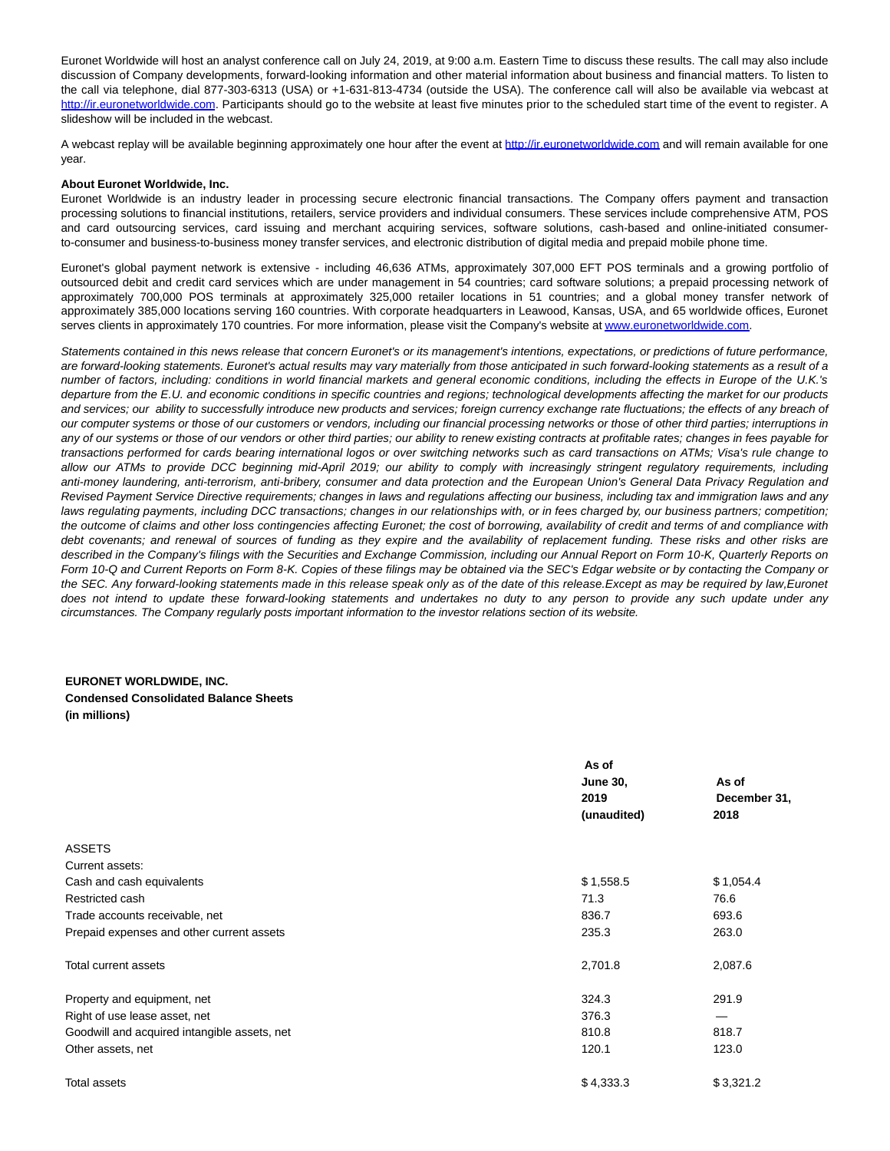Euronet Worldwide will host an analyst conference call on July 24, 2019, at 9:00 a.m. Eastern Time to discuss these results. The call may also include discussion of Company developments, forward-looking information and other material information about business and financial matters. To listen to the call via telephone, dial 877-303-6313 (USA) or +1-631-813-4734 (outside the USA). The conference call will also be available via webcast at [http://ir.euronetworldwide.com.](http://ir.euronetworldwide.com/) Participants should go to the website at least five minutes prior to the scheduled start time of the event to register. A slideshow will be included in the webcast.

A webcast replay will be available beginning approximately one hour after the event at [http://ir.euronetworldwide.com a](http://ir.euronetworldwide.com/)nd will remain available for one year.

### **About Euronet Worldwide, Inc.**

Euronet Worldwide is an industry leader in processing secure electronic financial transactions. The Company offers payment and transaction processing solutions to financial institutions, retailers, service providers and individual consumers. These services include comprehensive ATM, POS and card outsourcing services, card issuing and merchant acquiring services, software solutions, cash-based and online-initiated consumerto-consumer and business-to-business money transfer services, and electronic distribution of digital media and prepaid mobile phone time.

Euronet's global payment network is extensive - including 46,636 ATMs, approximately 307,000 EFT POS terminals and a growing portfolio of outsourced debit and credit card services which are under management in 54 countries; card software solutions; a prepaid processing network of approximately 700,000 POS terminals at approximately 325,000 retailer locations in 51 countries; and a global money transfer network of approximately 385,000 locations serving 160 countries. With corporate headquarters in Leawood, Kansas, USA, and 65 worldwide offices, Euronet serves clients in approximately 170 countries. For more information, please visit the Company's website a[t www.euronetworldwide.com.](http://www.euronetworldwide.com/)

Statements contained in this news release that concern Euronet's or its management's intentions, expectations, or predictions of future performance, are forward-looking statements. Euronet's actual results may vary materially from those anticipated in such forward-looking statements as a result of a number of factors, including: conditions in world financial markets and general economic conditions, including the effects in Europe of the U.K.'s departure from the E.U. and economic conditions in specific countries and regions; technological developments affecting the market for our products and services; our ability to successfully introduce new products and services; foreign currency exchange rate fluctuations; the effects of any breach of our computer systems or those of our customers or vendors, including our financial processing networks or those of other third parties; interruptions in any of our systems or those of our vendors or other third parties; our ability to renew existing contracts at profitable rates; changes in fees payable for transactions performed for cards bearing international logos or over switching networks such as card transactions on ATMs; Visa's rule change to allow our ATMs to provide DCC beginning mid-April 2019; our ability to comply with increasingly stringent regulatory requirements, including anti-money laundering, anti-terrorism, anti-bribery, consumer and data protection and the European Union's General Data Privacy Regulation and Revised Payment Service Directive requirements; changes in laws and regulations affecting our business, including tax and immigration laws and any laws regulating payments, including DCC transactions; changes in our relationships with, or in fees charged by, our business partners; competition; the outcome of claims and other loss contingencies affecting Euronet; the cost of borrowing, availability of credit and terms of and compliance with debt covenants; and renewal of sources of funding as they expire and the availability of replacement funding. These risks and other risks are described in the Company's filings with the Securities and Exchange Commission, including our Annual Report on Form 10-K, Quarterly Reports on Form 10-Q and Current Reports on Form 8-K. Copies of these filings may be obtained via the SEC's Edgar website or by contacting the Company or the SEC. Any forward-looking statements made in this release speak only as of the date of this release.Except as may be required by law,Euronet does not intend to update these forward-looking statements and undertakes no duty to any person to provide any such update under any circumstances. The Company regularly posts important information to the investor relations section of its website.

# **EURONET WORLDWIDE, INC. Condensed Consolidated Balance Sheets (in millions)**

|                                              | As of           |                       |  |  |
|----------------------------------------------|-----------------|-----------------------|--|--|
|                                              | <b>June 30,</b> | As of<br>December 31, |  |  |
|                                              | 2019            |                       |  |  |
|                                              | (unaudited)     | 2018                  |  |  |
| <b>ASSETS</b>                                |                 |                       |  |  |
| Current assets:                              |                 |                       |  |  |
| Cash and cash equivalents                    | \$1,558.5       | \$1,054.4             |  |  |
| Restricted cash                              | 71.3            | 76.6                  |  |  |
| Trade accounts receivable, net               | 836.7           | 693.6                 |  |  |
| Prepaid expenses and other current assets    | 235.3           | 263.0                 |  |  |
| Total current assets                         | 2,701.8         | 2,087.6               |  |  |
| Property and equipment, net                  | 324.3           | 291.9                 |  |  |
| Right of use lease asset, net                | 376.3           |                       |  |  |
| Goodwill and acquired intangible assets, net | 810.8           | 818.7                 |  |  |
| Other assets, net                            | 120.1           | 123.0                 |  |  |
| <b>Total assets</b>                          | \$4,333.3       | \$3,321.2             |  |  |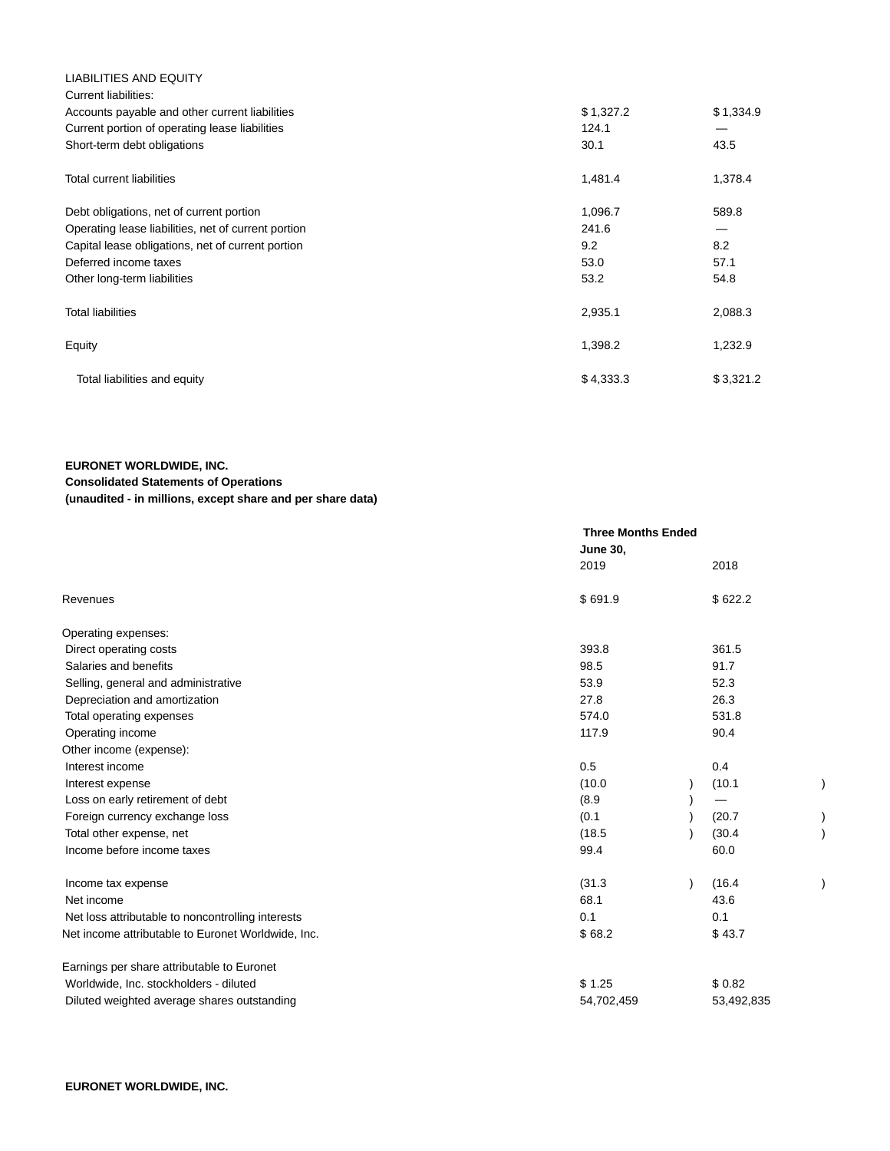| <b>LIABILITIES AND EQUITY</b>                       |           |           |
|-----------------------------------------------------|-----------|-----------|
| Current liabilities:                                |           |           |
| Accounts payable and other current liabilities      | \$1,327.2 | \$1,334.9 |
| Current portion of operating lease liabilities      | 124.1     |           |
| Short-term debt obligations                         | 30.1      | 43.5      |
| Total current liabilities                           | 1,481.4   | 1,378.4   |
| Debt obligations, net of current portion            | 1,096.7   | 589.8     |
| Operating lease liabilities, net of current portion | 241.6     |           |
| Capital lease obligations, net of current portion   | 9.2       | 8.2       |
| Deferred income taxes                               | 53.0      | 57.1      |
| Other long-term liabilities                         | 53.2      | 54.8      |
| <b>Total liabilities</b>                            | 2,935.1   | 2,088.3   |
| Equity                                              | 1,398.2   | 1,232.9   |
| Total liabilities and equity                        | \$4,333.3 | \$3,321.2 |
|                                                     |           |           |

# **EURONET WORLDWIDE, INC.**

# **Consolidated Statements of Operations**

# **(unaudited - in millions, except share and per share data)**

|                                                    | <b>Three Months Ended</b><br><b>June 30,</b> |            |  |
|----------------------------------------------------|----------------------------------------------|------------|--|
|                                                    | 2019                                         | 2018       |  |
| Revenues                                           | \$691.9                                      | \$622.2    |  |
| Operating expenses:                                |                                              |            |  |
| Direct operating costs                             | 393.8                                        | 361.5      |  |
| Salaries and benefits                              | 98.5                                         | 91.7       |  |
| Selling, general and administrative                | 53.9                                         | 52.3       |  |
| Depreciation and amortization                      | 27.8                                         | 26.3       |  |
| Total operating expenses                           | 574.0                                        | 531.8      |  |
| Operating income                                   | 117.9                                        | 90.4       |  |
| Other income (expense):                            |                                              |            |  |
| Interest income                                    | 0.5                                          | 0.4        |  |
| Interest expense                                   | (10.0)                                       | (10.1)     |  |
| Loss on early retirement of debt                   | (8.9)                                        |            |  |
| Foreign currency exchange loss                     | (0.1)                                        | (20.7)     |  |
| Total other expense, net                           | (18.5)                                       | (30.4)     |  |
| Income before income taxes                         | 99.4                                         | 60.0       |  |
| Income tax expense                                 | (31.3)                                       | (16.4)     |  |
| Net income                                         | 68.1                                         | 43.6       |  |
| Net loss attributable to noncontrolling interests  | 0.1                                          | 0.1        |  |
| Net income attributable to Euronet Worldwide, Inc. | \$68.2                                       | \$43.7     |  |
| Earnings per share attributable to Euronet         |                                              |            |  |
| Worldwide, Inc. stockholders - diluted             | \$1.25                                       | \$0.82     |  |
| Diluted weighted average shares outstanding        | 54,702,459                                   | 53,492,835 |  |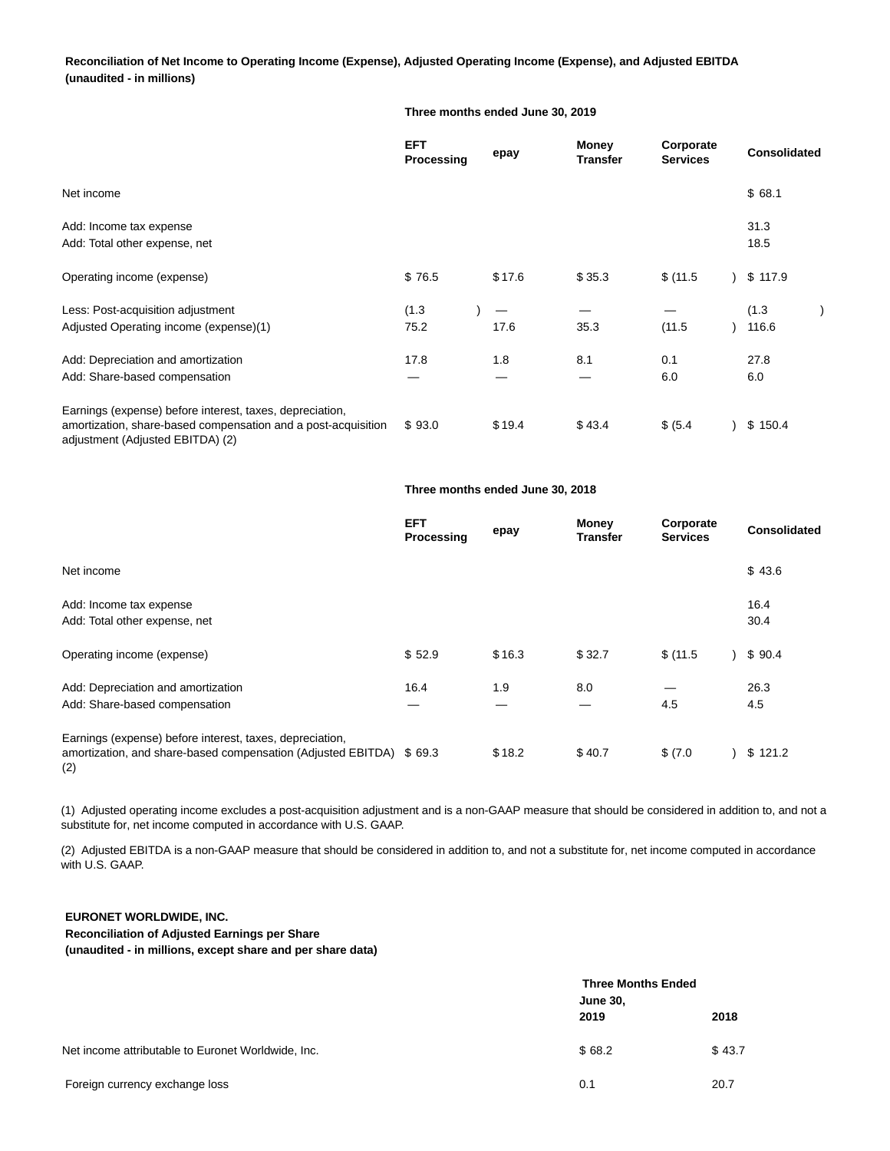# **Reconciliation of Net Income to Operating Income (Expense), Adjusted Operating Income (Expense), and Adjusted EBITDA (unaudited - in millions)**

### **Three months ended June 30, 2019**

|                                                                                                                                                               | <b>EFT</b><br>Processing | epay   | Money<br><b>Transfer</b> | Corporate<br><b>Services</b> | <b>Consolidated</b> |  |
|---------------------------------------------------------------------------------------------------------------------------------------------------------------|--------------------------|--------|--------------------------|------------------------------|---------------------|--|
| Net income                                                                                                                                                    |                          |        |                          |                              | \$68.1              |  |
| Add: Income tax expense<br>Add: Total other expense, net                                                                                                      |                          |        |                          |                              | 31.3<br>18.5        |  |
| Operating income (expense)                                                                                                                                    | \$76.5                   | \$17.6 | \$35.3                   | \$(11.5)                     | \$117.9             |  |
| Less: Post-acquisition adjustment<br>Adjusted Operating income (expense)(1)                                                                                   | (1.3)<br>75.2            | 17.6   | 35.3                     | (11.5)                       | (1.3)<br>116.6      |  |
| Add: Depreciation and amortization<br>Add: Share-based compensation                                                                                           | 17.8                     | 1.8    | 8.1                      | 0.1<br>6.0                   | 27.8<br>6.0         |  |
| Earnings (expense) before interest, taxes, depreciation,<br>amortization, share-based compensation and a post-acquisition<br>adjustment (Adjusted EBITDA) (2) | \$93.0                   | \$19.4 | \$43.4                   | \$ (5.4)                     | \$150.4             |  |

## **Three months ended June 30, 2018**

|                                                                                                                                        | <b>EFT</b><br>Processing | epay   | <b>Money</b><br><b>Transfer</b> | Corporate<br><b>Services</b> | Consolidated |
|----------------------------------------------------------------------------------------------------------------------------------------|--------------------------|--------|---------------------------------|------------------------------|--------------|
| Net income                                                                                                                             |                          |        |                                 |                              | \$43.6       |
| Add: Income tax expense<br>Add: Total other expense, net                                                                               |                          |        |                                 |                              | 16.4<br>30.4 |
| Operating income (expense)                                                                                                             | \$52.9                   | \$16.3 | \$32.7                          | \$(11.5)                     | \$90.4       |
| Add: Depreciation and amortization<br>Add: Share-based compensation                                                                    | 16.4<br>__               | 1.9    | 8.0<br>–                        | 4.5                          | 26.3<br>4.5  |
| Earnings (expense) before interest, taxes, depreciation,<br>amortization, and share-based compensation (Adjusted EBITDA) \$69.3<br>(2) |                          | \$18.2 | \$40.7                          | \$ (7.0)                     | \$121.2      |

(1) Adjusted operating income excludes a post-acquisition adjustment and is a non-GAAP measure that should be considered in addition to, and not a substitute for, net income computed in accordance with U.S. GAAP.

(2) Adjusted EBITDA is a non-GAAP measure that should be considered in addition to, and not a substitute for, net income computed in accordance with U.S. GAAP.

## **EURONET WORLDWIDE, INC.**

 **Reconciliation of Adjusted Earnings per Share**

 **(unaudited - in millions, except share and per share data)**

|                                                    | June 30, | <b>Three Months Ended</b> |  |  |
|----------------------------------------------------|----------|---------------------------|--|--|
|                                                    | 2019     | 2018                      |  |  |
| Net income attributable to Euronet Worldwide, Inc. | \$68.2   | \$43.7                    |  |  |
| Foreign currency exchange loss                     | 0.1      | 20.7                      |  |  |